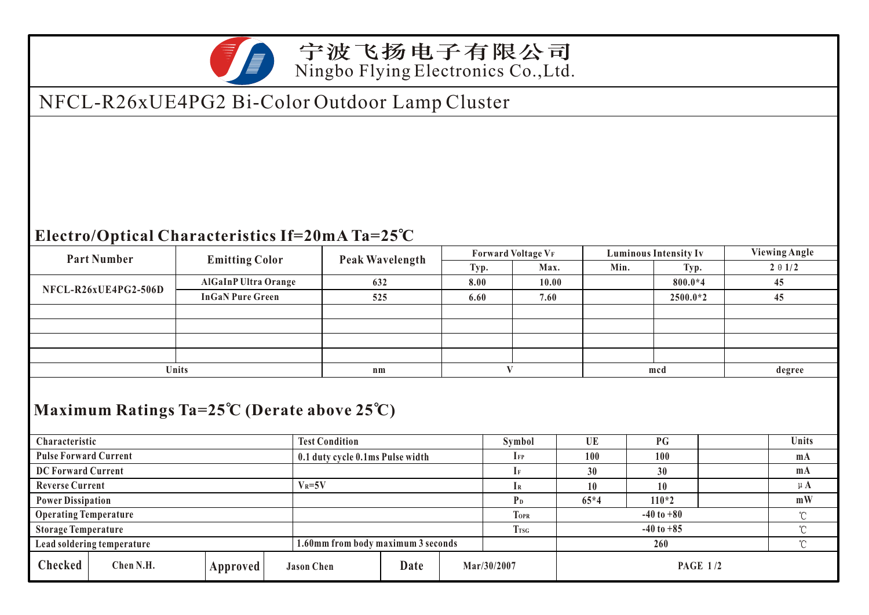

#### 宁波飞扬电子有限公司 Ningbo Flying Electronics Co.,Ltd.

## NFCL-R26xUE4PG2 Bi-Color Outdoor Lamp Cluster

#### **Electro/Optical Characteristics If=20mA Ta=25 C**

| <b>Part Number</b>                                               |                            |                                    |                        |                                  |      |      | <b>Forward Voltage VF</b> |       | <b>Luminous Intensity Iv</b>                                                           |  | <b>Viewing Angle</b> |              |
|------------------------------------------------------------------|----------------------------|------------------------------------|------------------------|----------------------------------|------|------|---------------------------|-------|----------------------------------------------------------------------------------------|--|----------------------|--------------|
|                                                                  | <b>Emitting Color</b>      |                                    | <b>Peak Wavelength</b> |                                  | Typ. |      | Max.                      | Min.  | Typ.<br>800.0*4<br>$2500.0*2$<br>mcd<br>PG<br>100<br>30<br><b>10</b><br>$110*2$<br>260 |  | $2 \theta$ 1/2       |              |
|                                                                  |                            | <b>AlGaInP Ultra Orange</b>        |                        | 632                              |      | 8.00 |                           | 10.00 |                                                                                        |  |                      | 45           |
| NFCL-R26xUE4PG2-506D                                             |                            | <b>InGaN Pure Green</b>            |                        | 525                              |      | 6.60 | 7.60                      |       |                                                                                        |  |                      |              |
|                                                                  |                            |                                    |                        |                                  |      |      |                           |       |                                                                                        |  |                      |              |
|                                                                  |                            |                                    |                        |                                  |      |      |                           |       |                                                                                        |  |                      |              |
|                                                                  |                            |                                    |                        |                                  |      |      |                           |       |                                                                                        |  |                      |              |
|                                                                  |                            |                                    |                        |                                  |      |      |                           |       |                                                                                        |  |                      |              |
|                                                                  | Units                      |                                    |                        | $n_{m}$                          |      |      | V                         |       |                                                                                        |  |                      | degree       |
|                                                                  |                            |                                    |                        |                                  |      |      |                           |       |                                                                                        |  |                      |              |
| Maximum Ratings Ta= $25^{\circ}$ C (Derate above $25^{\circ}$ C) |                            |                                    |                        |                                  |      |      |                           |       |                                                                                        |  |                      |              |
|                                                                  |                            |                                    |                        |                                  |      |      |                           |       |                                                                                        |  |                      |              |
| Characteristic                                                   |                            |                                    |                        | <b>Test Condition</b>            |      |      | Symbol                    |       | <b>UE</b>                                                                              |  |                      | Units        |
| <b>Pulse Forward Current</b>                                     |                            |                                    |                        | 0.1 duty cycle 0.1ms Pulse width |      |      | $\Gamma$                  |       | 100                                                                                    |  |                      |              |
| <b>DC Forward Current</b>                                        |                            |                                    |                        |                                  |      |      | $\rm I$ F                 |       | 30                                                                                     |  |                      | $m_A$        |
| <b>Reverse Current</b>                                           |                            |                                    | $V_R = 5V$             |                                  |      |      | IR                        |       | 10                                                                                     |  |                      | $\mu$ A      |
| <b>Power Dissipation</b>                                         |                            |                                    |                        |                                  |      |      | P <sub>D</sub>            |       | $65*4$                                                                                 |  |                      | mW           |
| <b>Operating Temperature</b>                                     |                            |                                    |                        |                                  |      |      | <b>TOPR</b>               |       | $-40$ to $+80$                                                                         |  |                      | $\mathrm{C}$ |
|                                                                  | <b>Storage Temperature</b> |                                    |                        |                                  |      |      |                           |       | $-40$ to $+85$                                                                         |  |                      | $\mathrm{C}$ |
| Lead soldering temperature                                       |                            | 1.60mm from body maximum 3 seconds |                        |                                  |      |      |                           |       | $\mathrm{C}$                                                                           |  |                      |              |
| <b>Checked</b>                                                   | Chen N.H.                  | Approved                           | <b>Jason Chen</b>      |                                  | Date |      | Mar/30/2007               |       | <b>PAGE 1/2</b>                                                                        |  |                      |              |